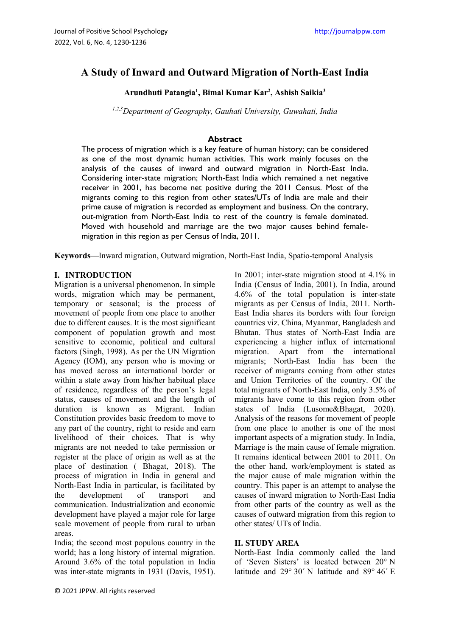# **A Study of Inward and Outward Migration of North-East India**

# **Arundhuti Patangia1 , Bimal Kumar Kar2 , Ashish Saikia3**

*1,2,3Department of Geography, Gauhati University, Guwahati, India*

# **Abstract**

The process of migration which is a key feature of human history; can be considered as one of the most dynamic human activities. This work mainly focuses on the analysis of the causes of inward and outward migration in North-East India. Considering inter-state migration; North-East India which remained a net negative receiver in 2001, has become net positive during the 2011 Census. Most of the migrants coming to this region from other states/UTs of India are male and their prime cause of migration is recorded as employment and business. On the contrary, out-migration from North-East India to rest of the country is female dominated. Moved with household and marriage are the two major causes behind femalemigration in this region as per Census of India, 2011.

**Keywords**—Inward migration, Outward migration, North-East India, Spatio-temporal Analysis

#### **I. INTRODUCTION**

Migration is a universal phenomenon. In simple words, migration which may be permanent, temporary or seasonal; is the process of movement of people from one place to another due to different causes. It is the most significant component of population growth and most sensitive to economic, political and cultural factors (Singh, 1998). As per the UN Migration Agency (IOM), any person who is moving or has moved across an international border or within a state away from his/her habitual place of residence, regardless of the person's legal status, causes of movement and the length of duration is known as Migrant. Indian Constitution provides basic freedom to move to any part of the country, right to reside and earn livelihood of their choices. That is why migrants are not needed to take permission or register at the place of origin as well as at the place of destination ( Bhagat, 2018). The process of migration in India in general and North-East India in particular, is facilitated by the development of transport and communication. Industrialization and economic development have played a major role for large scale movement of people from rural to urban areas.

India; the second most populous country in the world; has a long history of internal migration. Around 3.6% of the total population in India was inter-state migrants in 1931 (Davis, 1951).

© 2021 JPPW. All rights reserved

In 2001; inter-state migration stood at 4.1% in India (Census of India, 2001). In India, around 4.6% of the total population is inter-state migrants as per Census of India, 2011. North-East India shares its borders with four foreign countries viz. China, Myanmar, Bangladesh and Bhutan. Thus states of North-East India are experiencing a higher influx of international migration. Apart from the international migrants; North-East India has been the receiver of migrants coming from other states and Union Territories of the country. Of the total migrants of North-East India, only 3.5% of migrants have come to this region from other states of India (Lusome&Bhagat, 2020). Analysis of the reasons for movement of people from one place to another is one of the most important aspects of a migration study. In India, Marriage is the main cause of female migration. It remains identical between 2001 to 2011. On the other hand, work/employment is stated as the major cause of male migration within the country. This paper is an attempt to analyse the causes of inward migration to North-East India from other parts of the country as well as the causes of outward migration from this region to other states/ UTs of India.

### **II. STUDY AREA**

North-East India commonly called the land of 'Seven Sisters' is located between 20° N latitude and 29° 30´ N latitude and 89° 46´ E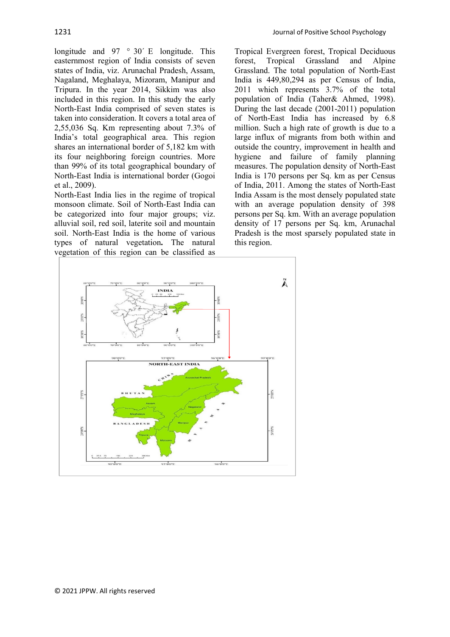longitude and  $97 \degree 30'$  E longitude. This easternmost region of India consists of seven states of India, viz. Arunachal Pradesh, Assam, Nagaland, Meghalaya, Mizoram, Manipur and Tripura. In the year 2014, Sikkim was also included in this region. In this study the early North-East India comprised of seven states is taken into consideration. It covers a total area of 2,55,036 Sq. Km representing about 7.3% of India's total geographical area. This region shares an international border of 5,182 km with its four neighboring foreign countries. More than 99% of its total geographical boundary of North-East India is international border (Gogoi et al., 2009).

North-East India lies in the regime of tropical monsoon climate. Soil of North-East India can be categorized into four major groups; viz. alluvial soil, red soil, laterite soil and mountain soil. North-East India is the home of various types of natural vegetation**.** The natural vegetation of this region can be classified as

Tropical Evergreen forest, Tropical Deciduous forest, Tropical Grassland and Grassland. The total population of North-East India is 449,80,294 as per Census of India, 2011 which represents 3.7% of the total population of India (Taher& Ahmed, 1998). During the last decade (2001-2011) population of North-East India has increased by 6.8 million. Such a high rate of growth is due to a large influx of migrants from both within and outside the country, improvement in health and hygiene and failure of family planning measures. The population density of North-East India is 170 persons per Sq. km as per Census of India, 2011. Among the states of North-East India Assam is the most densely populated state with an average population density of 398 persons per Sq. km. With an average population density of 17 persons per Sq. km, Arunachal Pradesh is the most sparsely populated state in this region.

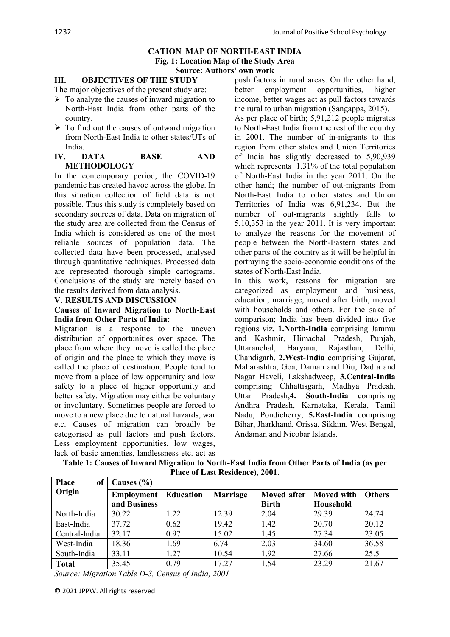#### **CATION MAP OF NORTH-EAST INDIA Fig. 1: Location Map of the Study Area Source: Authors' own work**

#### **III. OBJECTIVES OF THE STUDY**

The major objectives of the present study are:

- $\triangleright$  To analyze the causes of inward migration to North-East India from other parts of the country.
- $\triangleright$  To find out the causes of outward migration from North-East India to other states/UTs of India.

#### **IV. DATA BASE AND METHODOLOGY**

In the contemporary period, the COVID-19 pandemic has created havoc across the globe. In this situation collection of field data is not possible. Thus this study is completely based on secondary sources of data. Data on migration of the study area are collected from the Census of India which is considered as one of the most reliable sources of population data. The collected data have been processed, analysed through quantitative techniques. Processed data are represented thorough simple cartograms. Conclusions of the study are merely based on the results derived from data analysis.

#### **V. RESULTS AND DISCUSSION**

#### **Causes of Inward Migration to North-East India from Other Parts of India:**

Migration is a response to the uneven distribution of opportunities over space. The place from where they move is called the place of origin and the place to which they move is called the place of destination. People tend to move from a place of low opportunity and low safety to a place of higher opportunity and better safety. Migration may either be voluntary or involuntary. Sometimes people are forced to move to a new place due to natural hazards, war etc. Causes of migration can broadly be categorised as pull factors and push factors. Less employment opportunities, low wages, lack of basic amenities, landlessness etc. act as

push factors in rural areas. On the other hand, better employment opportunities, higher income, better wages act as pull factors towards the rural to urban migration (Sangappa, 2015).

As per place of birth; 5,91,212 people migrates to North-East India from the rest of the country in 2001. The number of in-migrants to this region from other states and Union Territories of India has slightly decreased to 5,90,939 which represents 1.31% of the total population of North-East India in the year 2011. On the other hand; the number of out-migrants from North-East India to other states and Union Territories of India was 6,91,234. But the number of out-migrants slightly falls to 5,10,353 in the year 2011. It is very important to analyze the reasons for the movement of people between the North-Eastern states and other parts of the country as it will be helpful in portraying the socio-economic conditions of the states of North-East India.

In this work, reasons for migration are categorized as employment and business, education, marriage, moved after birth, moved with households and others. For the sake of comparison; India has been divided into five regions viz**. 1.North-India** comprising Jammu and Kashmir, Himachal Pradesh, Punjab, Uttaranchal, Haryana, Rajasthan, Delhi, Chandigarh, **2.West-India** comprising Gujarat, Maharashtra, Goa, Daman and Diu, Dadra and Nagar Haveli, Lakshadweep, **3.Central-India**  comprising Chhattisgarh, Madhya Pradesh, Uttar Pradesh,**4. South-India** comprising Andhra Pradesh, Karnataka, Kerala, Tamil Nadu, Pondicherry, **5.East-India** comprising Bihar, Jharkhand, Orissa, Sikkim, West Bengal, Andaman and Nicobar Islands.

| <b>Place</b><br>of <sub>1</sub> | Causes $(\% )$    |           |                 |                    |                   |               |  |
|---------------------------------|-------------------|-----------|-----------------|--------------------|-------------------|---------------|--|
| Origin                          | <b>Employment</b> | Education | <b>Marriage</b> | <b>Moved after</b> | <b>Moved</b> with | <b>Others</b> |  |
|                                 | and Business      |           |                 | <b>Birth</b>       | Household         |               |  |
| North-India                     | 30.22             | 1.22      | 12.39           | 2.04               | 29.39             | 24.74         |  |
| East-India                      | 37.72             | 0.62      | 19.42           | 1.42               | 20.70             | 20.12         |  |
| Central-India                   | 32.17             | 0.97      | 15.02           | 1.45               | 27.34             | 23.05         |  |
| West-India                      | 18.36             | 1.69      | 6.74            | 2.03               | 34.60             | 36.58         |  |
| South-India                     | 33.11             | 1.27      | 10.54           | 1.92               | 27.66             | 25.5          |  |
| <b>Total</b>                    | 35.45             | 0.79      | 17.27           | 1.54               | 23.29             | 21.67         |  |

**Table 1: Causes of Inward Migration to North-East India from Other Parts of India (as per Place of Last Residence), 2001.**

*Source: Migration Table D-3, Census of India, 2001*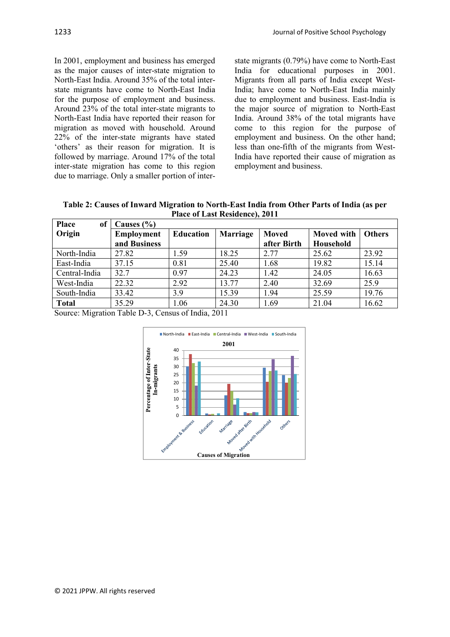In 2001, employment and business has emerged as the major causes of inter-state migration to North-East India. Around 35% of the total interstate migrants have come to North-East India for the purpose of employment and business. Around 23% of the total inter-state migrants to North-East India have reported their reason for migration as moved with household. Around 22% of the inter-state migrants have stated 'others' as their reason for migration. It is followed by marriage. Around 17% of the total inter-state migration has come to this region due to marriage. Only a smaller portion of interstate migrants (0.79%) have come to North-East India for educational purposes in 2001. Migrants from all parts of India except West-India; have come to North-East India mainly due to employment and business. East-India is the major source of migration to North-East India. Around 38% of the total migrants have come to this region for the purpose of employment and business. On the other hand; less than one-fifth of the migrants from West-India have reported their cause of migration as employment and business.

**Table 2: Causes of Inward Migration to North-East India from Other Parts of India (as per Place of Last Residence), 2011**

| <b>Place</b><br>of | Causes $(\% )$    |                  |                 |              |                   |               |
|--------------------|-------------------|------------------|-----------------|--------------|-------------------|---------------|
| Origin             | <b>Employment</b> | <b>Education</b> | <b>Marriage</b> | <b>Moved</b> | <b>Moved</b> with | <b>Others</b> |
|                    | and Business      |                  |                 | after Birth  | Household         |               |
| North-India        | 27.82             | 1.59             | 18.25           | 2.77         | 25.62             | 23.92         |
| East-India         | 37.15             | 0.81             | 25.40           | 1.68         | 19.82             | 15.14         |
| Central-India      | 32.7              | 0.97             | 24.23           | 1.42         | 24.05             | 16.63         |
| West-India         | 22.32             | 2.92             | 13.77           | 2.40         | 32.69             | 25.9          |
| South-India        | 33.42             | 3.9              | 15.39           | 1.94         | 25.59             | 19.76         |
| <b>Total</b>       | 35.29             | 1.06             | 24.30           | 1.69         | 21.04             | 16.62         |

Source: Migration Table D-3, Census of India, 2011

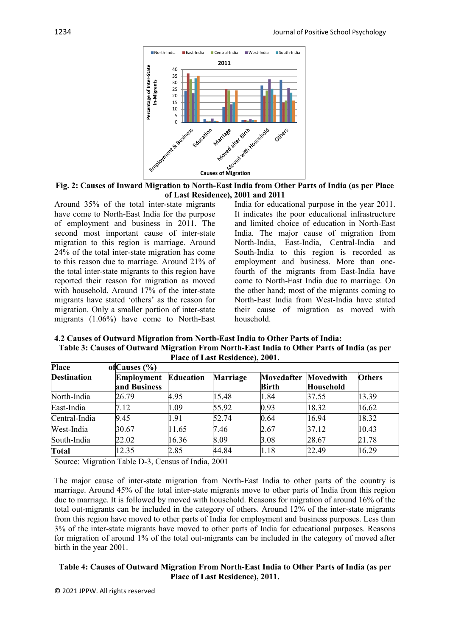

**Fig. 2: Causes of Inward Migration to North-East India from Other Parts of India (as per Place of Last Residence), 2001 and 2011**

Around 35% of the total inter-state migrants have come to North-East India for the purpose of employment and business in 2011. The second most important cause of inter-state migration to this region is marriage. Around 24% of the total inter-state migration has come to this reason due to marriage. Around 21% of the total inter-state migrants to this region have reported their reason for migration as moved with household. Around 17% of the inter-state migrants have stated 'others' as the reason for migration. Only a smaller portion of inter-state migrants (1.06%) have come to North-East

India for educational purpose in the year 2011. It indicates the poor educational infrastructure and limited choice of education in North-East India. The major cause of migration from North-India, East-India, Central-India and South-India to this region is recorded as employment and business. More than onefourth of the migrants from East-India have come to North-East India due to marriage. On the other hand; most of the migrants coming to North-East India from West-India have stated their cause of migration as moved with household.

**4.2 Causes of Outward Migration from North-East India to Other Parts of India: Table 3: Causes of Outward Migration From North-East India to Other Parts of India (as per Place of Last Residence), 2001.**

| Place              | of Causes $(\% )$ |                  |                 |              |           |               |
|--------------------|-------------------|------------------|-----------------|--------------|-----------|---------------|
| <b>Destination</b> | <b>Employment</b> | <b>Education</b> | <b>Marriage</b> | Movedafter   | Movedwith | <b>Others</b> |
|                    | and Business      |                  |                 | <b>Birth</b> | Household |               |
| North-India        | 26.79             | 4.95             | 15.48           | 1.84         | 37.55     | 13.39         |
| East-India         | 7.12              | 1.09             | 55.92           | 0.93         | 18.32     | 16.62         |
| Central-India      | 9.45              | 1.91             | 52.74           | 0.64         | 16.94     | 18.32         |
| West-India         | 30.67             | 11.65            | 7.46            | 2.67         | 37.12     | 10.43         |
| South-India        | 22.02             | 16.36            | 8.09            | 3.08         | 28.67     | 21.78         |
| <b>Total</b>       | 12.35             | 2.85             | 44.84           | 1.18         | 22.49     | 16.29         |

Source: Migration Table D-3, Census of India, 2001

The major cause of inter-state migration from North-East India to other parts of the country is marriage. Around 45% of the total inter-state migrants move to other parts of India from this region due to marriage. It is followed by moved with household. Reasons for migration of around 16% of the total out-migrants can be included in the category of others. Around 12% of the inter-state migrants from this region have moved to other parts of India for employment and business purposes. Less than 3% of the inter-state migrants have moved to other parts of India for educational purposes. Reasons for migration of around 1% of the total out-migrants can be included in the category of moved after birth in the year 2001.

# **Table 4: Causes of Outward Migration From North-East India to Other Parts of India (as per Place of Last Residence), 2011.**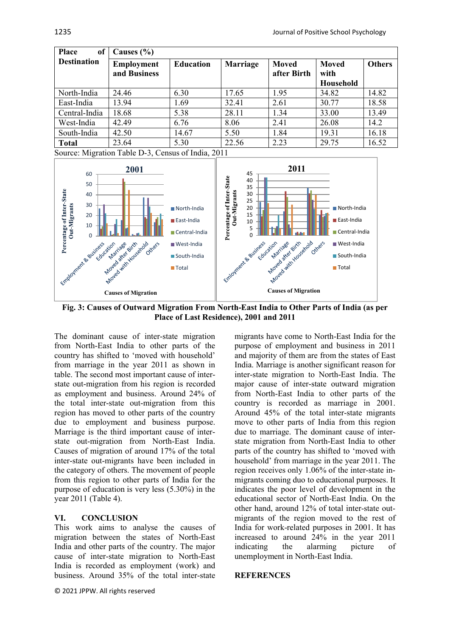| <b>Place</b><br>of | Causes $(\% )$                    |                  |                 |                             |                            |        |  |
|--------------------|-----------------------------------|------------------|-----------------|-----------------------------|----------------------------|--------|--|
| <b>Destination</b> | <b>Employment</b><br>and Business | <b>Education</b> | <b>Marriage</b> | <b>Moved</b><br>after Birth | Moved<br>with<br>Household | Others |  |
| North-India        | 24.46                             | 6.30             | 17.65           | 1.95                        | 34.82                      | 14.82  |  |
| East-India         | 13.94                             | 1.69             | 32.41           | 2.61                        | 30.77                      | 18.58  |  |
| Central-India      | 18.68                             | 5.38             | 28.11           | 1.34                        | 33.00                      | 13.49  |  |
| West-India         | 42.49                             | 6.76             | 8.06            | 2.41                        | 26.08                      | 14.2   |  |
| South-India        | 42.50                             | 14.67            | 5.50            | 1.84                        | 19.31                      | 16.18  |  |
| <b>Total</b>       | 23.64                             | 5.30             | 22.56           | 2.23                        | 29.75                      | 16.52  |  |

Source: Migration Table D-3, Census of India, 2011



**Fig. 3: Causes of Outward Migration From North-East India to Other Parts of India (as per Place of Last Residence), 2001 and 2011**

The dominant cause of inter-state migration from North-East India to other parts of the country has shifted to 'moved with household' from marriage in the year 2011 as shown in table. The second most important cause of interstate out-migration from his region is recorded as employment and business. Around 24% of the total inter-state out-migration from this region has moved to other parts of the country due to employment and business purpose. Marriage is the third important cause of interstate out-migration from North-East India. Causes of migration of around 17% of the total inter-state out-migrants have been included in the category of others. The movement of people from this region to other parts of India for the purpose of education is very less (5.30%) in the year 2011 (Table 4).

# **VI. CONCLUSION**

This work aims to analyse the causes of migration between the states of North-East India and other parts of the country. The major cause of inter-state migration to North-East India is recorded as employment (work) and business. Around 35% of the total inter-state

© 2021 JPPW. All rights reserved

migrants have come to North-East India for the purpose of employment and business in 2011 and majority of them are from the states of East India. Marriage is another significant reason for inter-state migration to North-East India. The major cause of inter-state outward migration from North-East India to other parts of the country is recorded as marriage in 2001. Around 45% of the total inter-state migrants move to other parts of India from this region due to marriage. The dominant cause of interstate migration from North-East India to other parts of the country has shifted to 'moved with household' from marriage in the year 2011. The region receives only 1.06% of the inter-state inmigrants coming duo to educational purposes. It indicates the poor level of development in the educational sector of North-East India. On the other hand, around 12% of total inter-state outmigrants of the region moved to the rest of India for work-related purposes in 2001. It has increased to around 24% in the year 2011 indicating the alarming picture of unemployment in North-East India.

# **REFERENCES**